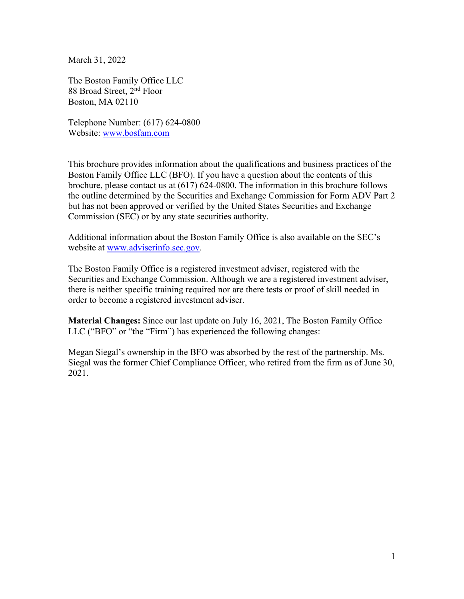March 31, 2022

The Boston Family Office LLC 88 Broad Street, 2nd Floor Boston, MA 02110

Telephone Number: (617) 624-0800 Website: [www.bosfam.com](http://www.bosfam.com/)

This brochure provides information about the qualifications and business practices of the Boston Family Office LLC (BFO). If you have a question about the contents of this brochure, please contact us at (617) 624-0800. The information in this brochure follows the outline determined by the Securities and Exchange Commission for Form ADV Part 2 but has not been approved or verified by the United States Securities and Exchange Commission (SEC) or by any state securities authority.

Additional information about the Boston Family Office is also available on the SEC's website at [www.adviserinfo.sec.gov.](http://www.adviserinfo.sec.gov/)

The Boston Family Office is a registered investment adviser, registered with the Securities and Exchange Commission. Although we are a registered investment adviser, there is neither specific training required nor are there tests or proof of skill needed in order to become a registered investment adviser.

**Material Changes:** Since our last update on July 16, 2021, The Boston Family Office LLC ("BFO" or "the "Firm") has experienced the following changes:

Megan Siegal's ownership in the BFO was absorbed by the rest of the partnership. Ms. Siegal was the former Chief Compliance Officer, who retired from the firm as of June 30, 2021.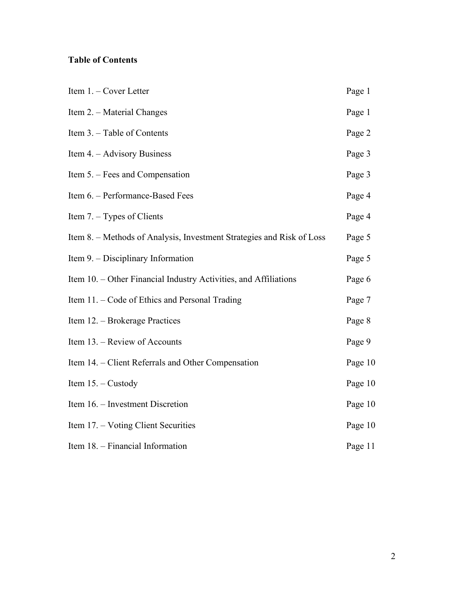# **Table of Contents**

| Item 1. - Cover Letter                                                | Page 1  |
|-----------------------------------------------------------------------|---------|
| Item 2. - Material Changes                                            | Page 1  |
| Item 3. - Table of Contents                                           | Page 2  |
| Item 4. – Advisory Business                                           | Page 3  |
| Item 5. – Fees and Compensation                                       | Page 3  |
| Item 6. - Performance-Based Fees                                      | Page 4  |
| Item $7. - Types$ of Clients                                          | Page 4  |
| Item 8. – Methods of Analysis, Investment Strategies and Risk of Loss | Page 5  |
| Item 9. – Disciplinary Information                                    | Page 5  |
| Item 10. – Other Financial Industry Activities, and Affiliations      | Page 6  |
| Item 11. – Code of Ethics and Personal Trading                        | Page 7  |
| Item 12. – Brokerage Practices                                        | Page 8  |
| Item 13. - Review of Accounts                                         | Page 9  |
| Item 14. – Client Referrals and Other Compensation                    | Page 10 |
| Item $15. -$ Custody                                                  | Page 10 |
| Item 16. – Investment Discretion                                      | Page 10 |
| Item 17. – Voting Client Securities                                   | Page 10 |
| Item 18. - Financial Information                                      | Page 11 |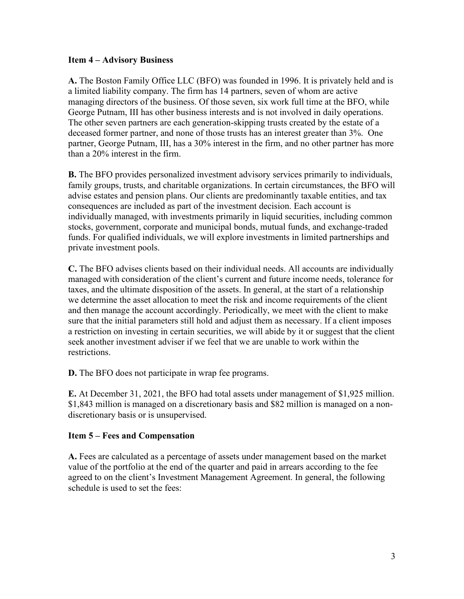#### **Item 4 – Advisory Business**

**A.** The Boston Family Office LLC (BFO) was founded in 1996. It is privately held and is a limited liability company. The firm has 14 partners, seven of whom are active managing directors of the business. Of those seven, six work full time at the BFO, while George Putnam, III has other business interests and is not involved in daily operations. The other seven partners are each generation-skipping trusts created by the estate of a deceased former partner, and none of those trusts has an interest greater than 3%. One partner, George Putnam, III, has a 30% interest in the firm, and no other partner has more than a 20% interest in the firm.

**B.** The BFO provides personalized investment advisory services primarily to individuals, family groups, trusts, and charitable organizations. In certain circumstances, the BFO will advise estates and pension plans. Our clients are predominantly taxable entities, and tax consequences are included as part of the investment decision. Each account is individually managed, with investments primarily in liquid securities, including common stocks, government, corporate and municipal bonds, mutual funds, and exchange-traded funds. For qualified individuals, we will explore investments in limited partnerships and private investment pools.

**C.** The BFO advises clients based on their individual needs. All accounts are individually managed with consideration of the client's current and future income needs, tolerance for taxes, and the ultimate disposition of the assets. In general, at the start of a relationship we determine the asset allocation to meet the risk and income requirements of the client and then manage the account accordingly. Periodically, we meet with the client to make sure that the initial parameters still hold and adjust them as necessary. If a client imposes a restriction on investing in certain securities, we will abide by it or suggest that the client seek another investment adviser if we feel that we are unable to work within the restrictions.

**D.** The BFO does not participate in wrap fee programs.

**E.** At December 31, 2021, the BFO had total assets under management of \$1,925 million. \$1,843 million is managed on a discretionary basis and \$82 million is managed on a nondiscretionary basis or is unsupervised.

#### **Item 5 – Fees and Compensation**

**A.** Fees are calculated as a percentage of assets under management based on the market value of the portfolio at the end of the quarter and paid in arrears according to the fee agreed to on the client's Investment Management Agreement. In general, the following schedule is used to set the fees: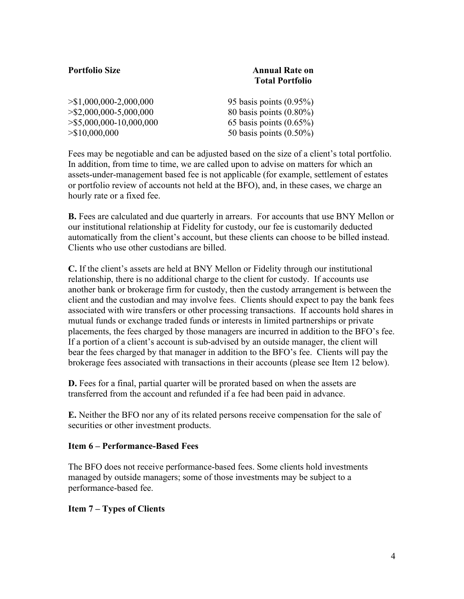| <b>Portfolio Size</b>            | <b>Annual Rate on</b><br><b>Total Portfolio</b> |
|----------------------------------|-------------------------------------------------|
| $>\$1,000,000-2,000,000$         | 95 basis points $(0.95\%)$                      |
| $>\frac{$2,000,000-5,000,000}{}$ | 80 basis points $(0.80\%)$                      |
| $>\$5,000,000-10,000,000$        | 65 basis points $(0.65\%)$                      |
| $>\$10,000,000$                  | 50 basis points $(0.50\%)$                      |

Fees may be negotiable and can be adjusted based on the size of a client's total portfolio. In addition, from time to time, we are called upon to advise on matters for which an assets-under-management based fee is not applicable (for example, settlement of estates or portfolio review of accounts not held at the BFO), and, in these cases, we charge an hourly rate or a fixed fee.

**B.** Fees are calculated and due quarterly in arrears. For accounts that use BNY Mellon or our institutional relationship at Fidelity for custody, our fee is customarily deducted automatically from the client's account, but these clients can choose to be billed instead. Clients who use other custodians are billed.

**C.** If the client's assets are held at BNY Mellon or Fidelity through our institutional relationship, there is no additional charge to the client for custody. If accounts use another bank or brokerage firm for custody, then the custody arrangement is between the client and the custodian and may involve fees. Clients should expect to pay the bank fees associated with wire transfers or other processing transactions. If accounts hold shares in mutual funds or exchange traded funds or interests in limited partnerships or private placements, the fees charged by those managers are incurred in addition to the BFO's fee. If a portion of a client's account is sub-advised by an outside manager, the client will bear the fees charged by that manager in addition to the BFO's fee. Clients will pay the brokerage fees associated with transactions in their accounts (please see Item 12 below).

**D.** Fees for a final, partial quarter will be prorated based on when the assets are transferred from the account and refunded if a fee had been paid in advance.

**E.** Neither the BFO nor any of its related persons receive compensation for the sale of securities or other investment products.

#### **Item 6 – Performance-Based Fees**

The BFO does not receive performance-based fees. Some clients hold investments managed by outside managers; some of those investments may be subject to a performance-based fee.

#### **Item 7 – Types of Clients**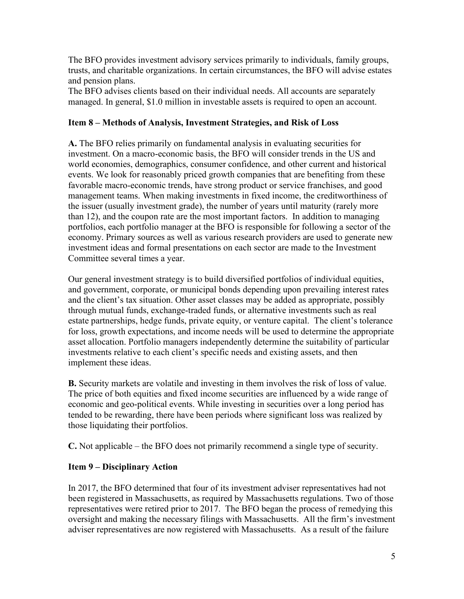The BFO provides investment advisory services primarily to individuals, family groups, trusts, and charitable organizations. In certain circumstances, the BFO will advise estates and pension plans.

The BFO advises clients based on their individual needs. All accounts are separately managed. In general, \$1.0 million in investable assets is required to open an account.

### **Item 8 – Methods of Analysis, Investment Strategies, and Risk of Loss**

**A.** The BFO relies primarily on fundamental analysis in evaluating securities for investment. On a macro-economic basis, the BFO will consider trends in the US and world economies, demographics, consumer confidence, and other current and historical events. We look for reasonably priced growth companies that are benefiting from these favorable macro-economic trends, have strong product or service franchises, and good management teams. When making investments in fixed income, the creditworthiness of the issuer (usually investment grade), the number of years until maturity (rarely more than 12), and the coupon rate are the most important factors. In addition to managing portfolios, each portfolio manager at the BFO is responsible for following a sector of the economy. Primary sources as well as various research providers are used to generate new investment ideas and formal presentations on each sector are made to the Investment Committee several times a year.

Our general investment strategy is to build diversified portfolios of individual equities, and government, corporate, or municipal bonds depending upon prevailing interest rates and the client's tax situation. Other asset classes may be added as appropriate, possibly through mutual funds, exchange-traded funds, or alternative investments such as real estate partnerships, hedge funds, private equity, or venture capital. The client's tolerance for loss, growth expectations, and income needs will be used to determine the appropriate asset allocation. Portfolio managers independently determine the suitability of particular investments relative to each client's specific needs and existing assets, and then implement these ideas.

**B.** Security markets are volatile and investing in them involves the risk of loss of value. The price of both equities and fixed income securities are influenced by a wide range of economic and geo-political events. While investing in securities over a long period has tended to be rewarding, there have been periods where significant loss was realized by those liquidating their portfolios.

**C.** Not applicable – the BFO does not primarily recommend a single type of security.

## **Item 9 – Disciplinary Action**

In 2017, the BFO determined that four of its investment adviser representatives had not been registered in Massachusetts, as required by Massachusetts regulations. Two of those representatives were retired prior to 2017. The BFO began the process of remedying this oversight and making the necessary filings with Massachusetts. All the firm's investment adviser representatives are now registered with Massachusetts. As a result of the failure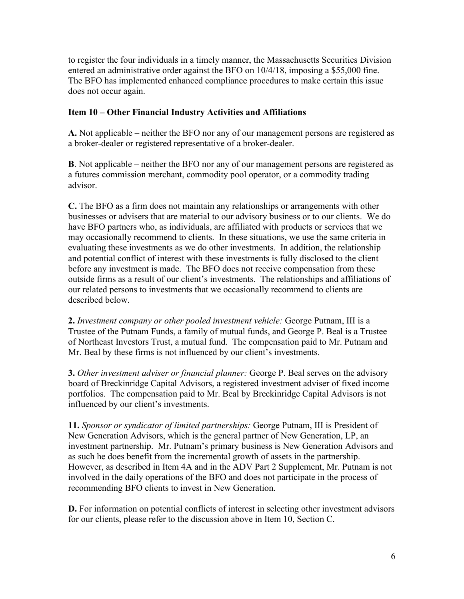to register the four individuals in a timely manner, the Massachusetts Securities Division entered an administrative order against the BFO on 10/4/18, imposing a \$55,000 fine. The BFO has implemented enhanced compliance procedures to make certain this issue does not occur again.

#### **Item 10 – Other Financial Industry Activities and Affiliations**

**A.** Not applicable – neither the BFO nor any of our management persons are registered as a broker-dealer or registered representative of a broker-dealer.

**B**. Not applicable – neither the BFO nor any of our management persons are registered as a futures commission merchant, commodity pool operator, or a commodity trading advisor.

**C.** The BFO as a firm does not maintain any relationships or arrangements with other businesses or advisers that are material to our advisory business or to our clients. We do have BFO partners who, as individuals, are affiliated with products or services that we may occasionally recommend to clients. In these situations, we use the same criteria in evaluating these investments as we do other investments. In addition, the relationship and potential conflict of interest with these investments is fully disclosed to the client before any investment is made. The BFO does not receive compensation from these outside firms as a result of our client's investments. The relationships and affiliations of our related persons to investments that we occasionally recommend to clients are described below.

**2.** *Investment company or other pooled investment vehicle:* George Putnam, III is a Trustee of the Putnam Funds, a family of mutual funds, and George P. Beal is a Trustee of Northeast Investors Trust, a mutual fund. The compensation paid to Mr. Putnam and Mr. Beal by these firms is not influenced by our client's investments.

**3.** *Other investment adviser or financial planner:* George P. Beal serves on the advisory board of Breckinridge Capital Advisors, a registered investment adviser of fixed income portfolios. The compensation paid to Mr. Beal by Breckinridge Capital Advisors is not influenced by our client's investments.

**11.** *Sponsor or syndicator of limited partnerships:* George Putnam, III is President of New Generation Advisors, which is the general partner of New Generation, LP, an investment partnership. Mr. Putnam's primary business is New Generation Advisors and as such he does benefit from the incremental growth of assets in the partnership. However, as described in Item 4A and in the ADV Part 2 Supplement, Mr. Putnam is not involved in the daily operations of the BFO and does not participate in the process of recommending BFO clients to invest in New Generation.

**D.** For information on potential conflicts of interest in selecting other investment advisors for our clients, please refer to the discussion above in Item 10, Section C.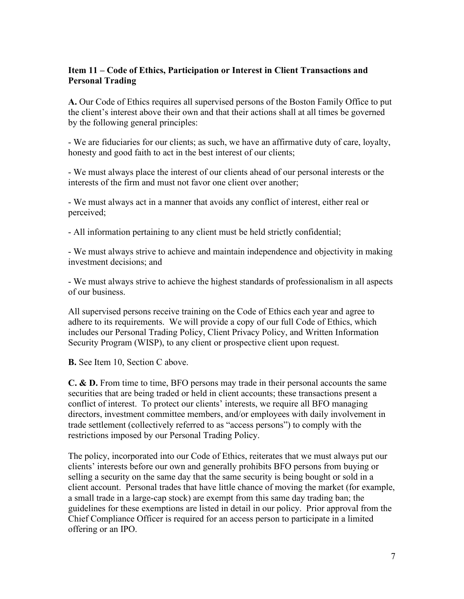### **Item 11 – Code of Ethics, Participation or Interest in Client Transactions and Personal Trading**

**A.** Our Code of Ethics requires all supervised persons of the Boston Family Office to put the client's interest above their own and that their actions shall at all times be governed by the following general principles:

- We are fiduciaries for our clients; as such, we have an affirmative duty of care, loyalty, honesty and good faith to act in the best interest of our clients;

- We must always place the interest of our clients ahead of our personal interests or the interests of the firm and must not favor one client over another;

- We must always act in a manner that avoids any conflict of interest, either real or perceived;

- All information pertaining to any client must be held strictly confidential;

- We must always strive to achieve and maintain independence and objectivity in making investment decisions; and

- We must always strive to achieve the highest standards of professionalism in all aspects of our business.

All supervised persons receive training on the Code of Ethics each year and agree to adhere to its requirements. We will provide a copy of our full Code of Ethics, which includes our Personal Trading Policy, Client Privacy Policy, and Written Information Security Program (WISP), to any client or prospective client upon request.

**B.** See Item 10, Section C above.

**C. & D.** From time to time, BFO persons may trade in their personal accounts the same securities that are being traded or held in client accounts; these transactions present a conflict of interest. To protect our clients' interests, we require all BFO managing directors, investment committee members, and/or employees with daily involvement in trade settlement (collectively referred to as "access persons") to comply with the restrictions imposed by our Personal Trading Policy.

The policy, incorporated into our Code of Ethics, reiterates that we must always put our clients' interests before our own and generally prohibits BFO persons from buying or selling a security on the same day that the same security is being bought or sold in a client account. Personal trades that have little chance of moving the market (for example, a small trade in a large-cap stock) are exempt from this same day trading ban; the guidelines for these exemptions are listed in detail in our policy. Prior approval from the Chief Compliance Officer is required for an access person to participate in a limited offering or an IPO.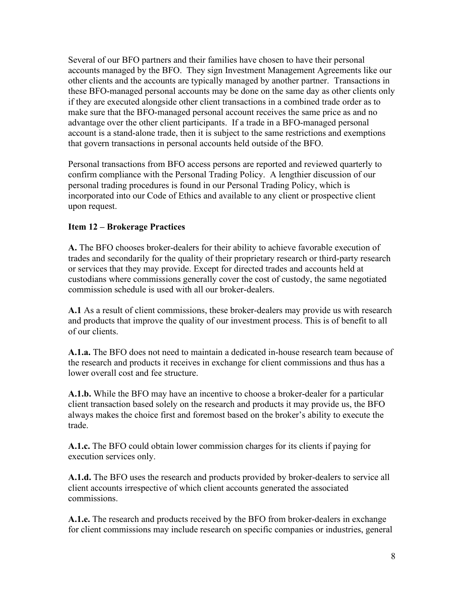Several of our BFO partners and their families have chosen to have their personal accounts managed by the BFO. They sign Investment Management Agreements like our other clients and the accounts are typically managed by another partner. Transactions in these BFO-managed personal accounts may be done on the same day as other clients only if they are executed alongside other client transactions in a combined trade order as to make sure that the BFO-managed personal account receives the same price as and no advantage over the other client participants. If a trade in a BFO-managed personal account is a stand-alone trade, then it is subject to the same restrictions and exemptions that govern transactions in personal accounts held outside of the BFO.

Personal transactions from BFO access persons are reported and reviewed quarterly to confirm compliance with the Personal Trading Policy. A lengthier discussion of our personal trading procedures is found in our Personal Trading Policy, which is incorporated into our Code of Ethics and available to any client or prospective client upon request.

### **Item 12 – Brokerage Practices**

**A.** The BFO chooses broker-dealers for their ability to achieve favorable execution of trades and secondarily for the quality of their proprietary research or third-party research or services that they may provide. Except for directed trades and accounts held at custodians where commissions generally cover the cost of custody, the same negotiated commission schedule is used with all our broker-dealers.

**A.1** As a result of client commissions, these broker-dealers may provide us with research and products that improve the quality of our investment process. This is of benefit to all of our clients.

**A.1.a.** The BFO does not need to maintain a dedicated in-house research team because of the research and products it receives in exchange for client commissions and thus has a lower overall cost and fee structure.

**A.1.b.** While the BFO may have an incentive to choose a broker-dealer for a particular client transaction based solely on the research and products it may provide us, the BFO always makes the choice first and foremost based on the broker's ability to execute the trade.

**A.1.c.** The BFO could obtain lower commission charges for its clients if paying for execution services only.

**A.1.d.** The BFO uses the research and products provided by broker-dealers to service all client accounts irrespective of which client accounts generated the associated commissions.

**A.1.e.** The research and products received by the BFO from broker-dealers in exchange for client commissions may include research on specific companies or industries, general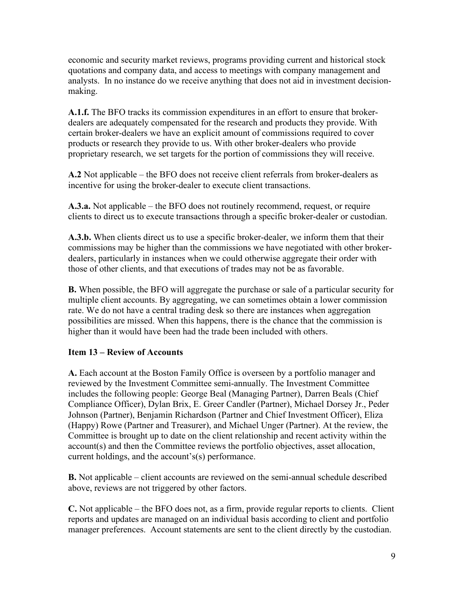economic and security market reviews, programs providing current and historical stock quotations and company data, and access to meetings with company management and analysts. In no instance do we receive anything that does not aid in investment decisionmaking.

**A.1.f.** The BFO tracks its commission expenditures in an effort to ensure that brokerdealers are adequately compensated for the research and products they provide. With certain broker-dealers we have an explicit amount of commissions required to cover products or research they provide to us. With other broker-dealers who provide proprietary research, we set targets for the portion of commissions they will receive.

**A.2** Not applicable – the BFO does not receive client referrals from broker-dealers as incentive for using the broker-dealer to execute client transactions.

**A.3.a.** Not applicable – the BFO does not routinely recommend, request, or require clients to direct us to execute transactions through a specific broker-dealer or custodian.

**A.3.b.** When clients direct us to use a specific broker-dealer, we inform them that their commissions may be higher than the commissions we have negotiated with other brokerdealers, particularly in instances when we could otherwise aggregate their order with those of other clients, and that executions of trades may not be as favorable.

**B.** When possible, the BFO will aggregate the purchase or sale of a particular security for multiple client accounts. By aggregating, we can sometimes obtain a lower commission rate. We do not have a central trading desk so there are instances when aggregation possibilities are missed. When this happens, there is the chance that the commission is higher than it would have been had the trade been included with others.

#### **Item 13 – Review of Accounts**

**A.** Each account at the Boston Family Office is overseen by a portfolio manager and reviewed by the Investment Committee semi-annually. The Investment Committee includes the following people: George Beal (Managing Partner), Darren Beals (Chief Compliance Officer), Dylan Brix, E. Greer Candler (Partner), Michael Dorsey Jr., Peder Johnson (Partner), Benjamin Richardson (Partner and Chief Investment Officer), Eliza (Happy) Rowe (Partner and Treasurer), and Michael Unger (Partner). At the review, the Committee is brought up to date on the client relationship and recent activity within the account(s) and then the Committee reviews the portfolio objectives, asset allocation, current holdings, and the account's(s) performance.

**B.** Not applicable – client accounts are reviewed on the semi-annual schedule described above, reviews are not triggered by other factors.

**C.** Not applicable – the BFO does not, as a firm, provide regular reports to clients. Client reports and updates are managed on an individual basis according to client and portfolio manager preferences. Account statements are sent to the client directly by the custodian.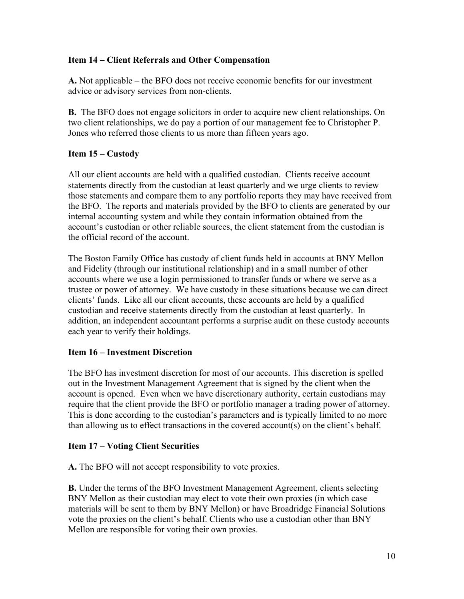### **Item 14 – Client Referrals and Other Compensation**

**A.** Not applicable – the BFO does not receive economic benefits for our investment advice or advisory services from non-clients.

**B.** The BFO does not engage solicitors in order to acquire new client relationships. On two client relationships, we do pay a portion of our management fee to Christopher P. Jones who referred those clients to us more than fifteen years ago.

### **Item 15 – Custody**

All our client accounts are held with a qualified custodian. Clients receive account statements directly from the custodian at least quarterly and we urge clients to review those statements and compare them to any portfolio reports they may have received from the BFO. The reports and materials provided by the BFO to clients are generated by our internal accounting system and while they contain information obtained from the account's custodian or other reliable sources, the client statement from the custodian is the official record of the account.

The Boston Family Office has custody of client funds held in accounts at BNY Mellon and Fidelity (through our institutional relationship) and in a small number of other accounts where we use a login permissioned to transfer funds or where we serve as a trustee or power of attorney. We have custody in these situations because we can direct clients' funds. Like all our client accounts, these accounts are held by a qualified custodian and receive statements directly from the custodian at least quarterly. In addition, an independent accountant performs a surprise audit on these custody accounts each year to verify their holdings.

#### **Item 16 – Investment Discretion**

The BFO has investment discretion for most of our accounts. This discretion is spelled out in the Investment Management Agreement that is signed by the client when the account is opened. Even when we have discretionary authority, certain custodians may require that the client provide the BFO or portfolio manager a trading power of attorney. This is done according to the custodian's parameters and is typically limited to no more than allowing us to effect transactions in the covered account(s) on the client's behalf.

#### **Item 17 – Voting Client Securities**

**A.** The BFO will not accept responsibility to vote proxies.

**B.** Under the terms of the BFO Investment Management Agreement, clients selecting BNY Mellon as their custodian may elect to vote their own proxies (in which case materials will be sent to them by BNY Mellon) or have Broadridge Financial Solutions vote the proxies on the client's behalf. Clients who use a custodian other than BNY Mellon are responsible for voting their own proxies.